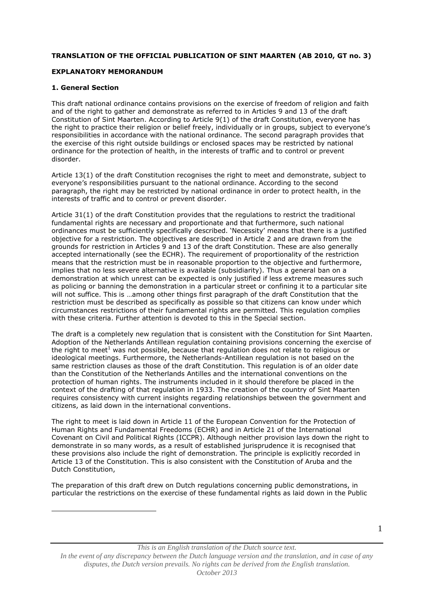## **TRANSLATION OF THE OFFICIAL PUBLICATION OF SINT MAARTEN (AB 2010, GT no. 3)**

## **EXPLANATORY MEMORANDUM**

## **1. General Section**

<u>.</u>

This draft national ordinance contains provisions on the exercise of freedom of religion and faith and of the right to gather and demonstrate as referred to in Articles 9 and 13 of the draft Constitution of Sint Maarten. According to Article 9(1) of the draft Constitution, everyone has the right to practice their religion or belief freely, individually or in groups, subject to everyone's responsibilities in accordance with the national ordinance. The second paragraph provides that the exercise of this right outside buildings or enclosed spaces may be restricted by national ordinance for the protection of health, in the interests of traffic and to control or prevent disorder.

Article 13(1) of the draft Constitution recognises the right to meet and demonstrate, subject to everyone's responsibilities pursuant to the national ordinance. According to the second paragraph, the right may be restricted by national ordinance in order to protect health, in the interests of traffic and to control or prevent disorder.

Article 31(1) of the draft Constitution provides that the regulations to restrict the traditional fundamental rights are necessary and proportionate and that furthermore, such national ordinances must be sufficiently specifically described. 'Necessity' means that there is a justified objective for a restriction. The objectives are described in Article 2 and are drawn from the grounds for restriction in Articles 9 and 13 of the draft Constitution. These are also generally accepted internationally (see the ECHR). The requirement of proportionality of the restriction means that the restriction must be in reasonable proportion to the objective and furthermore, implies that no less severe alternative is available (subsidiarity). Thus a general ban on a demonstration at which unrest can be expected is only justified if less extreme measures such as policing or banning the demonstration in a particular street or confining it to a particular site will not suffice. This is …among other things first paragraph of the draft Constitution that the restriction must be described as specifically as possible so that citizens can know under which circumstances restrictions of their fundamental rights are permitted. This regulation complies with these criteria. Further attention is devoted to this in the Special section.

The draft is a completely new regulation that is consistent with the Constitution for Sint Maarten. Adoption of the Netherlands Antillean regulation containing provisions concerning the exercise of the right to meet<sup>1</sup> was not possible, because that regulation does not relate to religious or ideological meetings. Furthermore, the Netherlands-Antillean regulation is not based on the same restriction clauses as those of the draft Constitution. This regulation is of an older date than the Constitution of the Netherlands Antilles and the international conventions on the protection of human rights. The instruments included in it should therefore be placed in the context of the drafting of that regulation in 1933. The creation of the country of Sint Maarten requires consistency with current insights regarding relationships between the government and citizens, as laid down in the international conventions.

The right to meet is laid down in Article 11 of the European Convention for the Protection of Human Rights and Fundamental Freedoms (ECHR) and in Article 21 of the International Covenant on Civil and Political Rights (ICCPR). Although neither provision lays down the right to demonstrate in so many words, as a result of established jurisprudence it is recognised that these provisions also include the right of demonstration. The principle is explicitly recorded in Article 13 of the Constitution. This is also consistent with the Constitution of Aruba and the Dutch Constitution,

The preparation of this draft drew on Dutch regulations concerning public demonstrations, in particular the restrictions on the exercise of these fundamental rights as laid down in the Public

*This is an English translation of the Dutch source text.*

*In the event of any discrepancy between the Dutch language version and the translation, and in case of any disputes, the Dutch version prevails. No rights can be derived from the English translation. October 2013*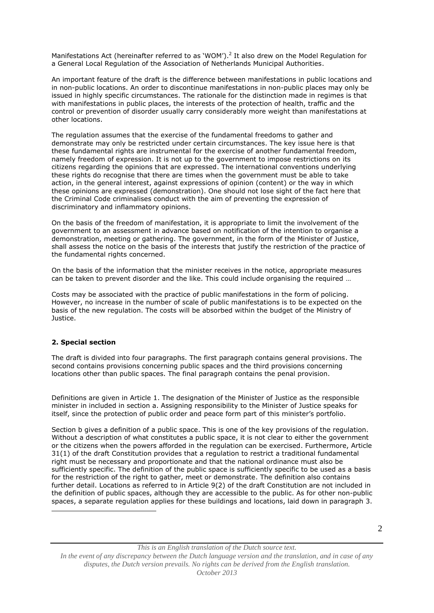Manifestations Act (hereinafter referred to as 'WOM').<sup>2</sup> It also drew on the Model Regulation for a General Local Regulation of the Association of Netherlands Municipal Authorities.

An important feature of the draft is the difference between manifestations in public locations and in non-public locations. An order to discontinue manifestations in non-public places may only be issued in highly specific circumstances. The rationale for the distinction made in regimes is that with manifestations in public places, the interests of the protection of health, traffic and the control or prevention of disorder usually carry considerably more weight than manifestations at other locations.

The regulation assumes that the exercise of the fundamental freedoms to gather and demonstrate may only be restricted under certain circumstances. The key issue here is that these fundamental rights are instrumental for the exercise of another fundamental freedom, namely freedom of expression. It is not up to the government to impose restrictions on its citizens regarding the opinions that are expressed. The international conventions underlying these rights do recognise that there are times when the government must be able to take action, in the general interest, against expressions of opinion (content) or the way in which these opinions are expressed (demonstration). One should not lose sight of the fact here that the Criminal Code criminalises conduct with the aim of preventing the expression of discriminatory and inflammatory opinions.

On the basis of the freedom of manifestation, it is appropriate to limit the involvement of the government to an assessment in advance based on notification of the intention to organise a demonstration, meeting or gathering. The government, in the form of the Minister of Justice, shall assess the notice on the basis of the interests that justify the restriction of the practice of the fundamental rights concerned.

On the basis of the information that the minister receives in the notice, appropriate measures can be taken to prevent disorder and the like. This could include organising the required …

Costs may be associated with the practice of public manifestations in the form of policing. However, no increase in the number of scale of public manifestations is to be expected on the basis of the new regulation. The costs will be absorbed within the budget of the Ministry of Justice.

## **2. Special section**

<u>.</u>

The draft is divided into four paragraphs. The first paragraph contains general provisions. The second contains provisions concerning public spaces and the third provisions concerning locations other than public spaces. The final paragraph contains the penal provision.

Definitions are given in Article 1. The designation of the Minister of Justice as the responsible minister in included in section a. Assigning responsibility to the Minister of Justice speaks for itself, since the protection of public order and peace form part of this minister's portfolio.

Section b gives a definition of a public space. This is one of the key provisions of the regulation. Without a description of what constitutes a public space, it is not clear to either the government or the citizens when the powers afforded in the regulation can be exercised. Furthermore, Article 31(1) of the draft Constitution provides that a regulation to restrict a traditional fundamental right must be necessary and proportionate and that the national ordinance must also be sufficiently specific. The definition of the public space is sufficiently specific to be used as a basis for the restriction of the right to gather, meet or demonstrate. The definition also contains further detail. Locations as referred to in Article 9(2) of the draft Constitution are not included in the definition of public spaces, although they are accessible to the public. As for other non-public spaces, a separate regulation applies for these buildings and locations, laid down in paragraph 3.

*This is an English translation of the Dutch source text.*

*In the event of any discrepancy between the Dutch language version and the translation, and in case of any disputes, the Dutch version prevails. No rights can be derived from the English translation. October 2013*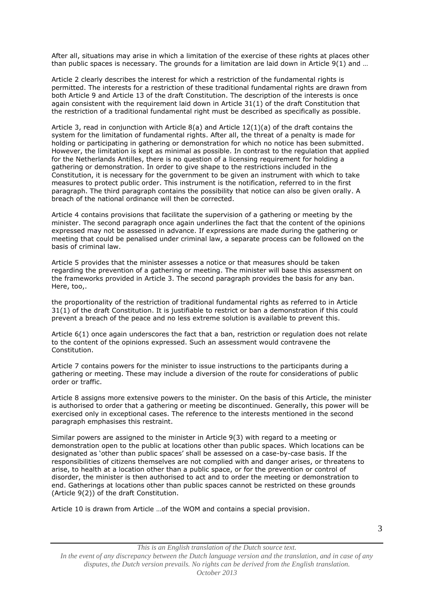After all, situations may arise in which a limitation of the exercise of these rights at places other than public spaces is necessary. The grounds for a limitation are laid down in Article 9(1) and ...

Article 2 clearly describes the interest for which a restriction of the fundamental rights is permitted. The interests for a restriction of these traditional fundamental rights are drawn from both Article 9 and Article 13 of the draft Constitution. The description of the interests is once again consistent with the requirement laid down in Article 31(1) of the draft Constitution that the restriction of a traditional fundamental right must be described as specifically as possible.

Article 3, read in conjunction with Article 8(a) and Article 12(1)(a) of the draft contains the system for the limitation of fundamental rights. After all, the threat of a penalty is made for holding or participating in gathering or demonstration for which no notice has been submitted. However, the limitation is kept as minimal as possible. In contrast to the regulation that applied for the Netherlands Antilles, there is no question of a licensing requirement for holding a gathering or demonstration. In order to give shape to the restrictions included in the Constitution, it is necessary for the government to be given an instrument with which to take measures to protect public order. This instrument is the notification, referred to in the first paragraph. The third paragraph contains the possibility that notice can also be given orally. A breach of the national ordinance will then be corrected.

Article 4 contains provisions that facilitate the supervision of a gathering or meeting by the minister. The second paragraph once again underlines the fact that the content of the opinions expressed may not be assessed in advance. If expressions are made during the gathering or meeting that could be penalised under criminal law, a separate process can be followed on the basis of criminal law.

Article 5 provides that the minister assesses a notice or that measures should be taken regarding the prevention of a gathering or meeting. The minister will base this assessment on the frameworks provided in Article 3. The second paragraph provides the basis for any ban. Here, too,.

the proportionality of the restriction of traditional fundamental rights as referred to in Article 31(1) of the draft Constitution. It is justifiable to restrict or ban a demonstration if this could prevent a breach of the peace and no less extreme solution is available to prevent this.

Article 6(1) once again underscores the fact that a ban, restriction or regulation does not relate to the content of the opinions expressed. Such an assessment would contravene the Constitution.

Article 7 contains powers for the minister to issue instructions to the participants during a gathering or meeting. These may include a diversion of the route for considerations of public order or traffic.

Article 8 assigns more extensive powers to the minister. On the basis of this Article, the minister is authorised to order that a gathering or meeting be discontinued. Generally, this power will be exercised only in exceptional cases. The reference to the interests mentioned in the second paragraph emphasises this restraint.

Similar powers are assigned to the minister in Article 9(3) with regard to a meeting or demonstration open to the public at locations other than public spaces. Which locations can be designated as 'other than public spaces' shall be assessed on a case-by-case basis. If the responsibilities of citizens themselves are not complied with and danger arises, or threatens to arise, to health at a location other than a public space, or for the prevention or control of disorder, the minister is then authorised to act and to order the meeting or demonstration to end. Gatherings at locations other than public spaces cannot be restricted on these grounds (Article 9(2)) of the draft Constitution.

Article 10 is drawn from Article …of the WOM and contains a special provision.

*This is an English translation of the Dutch source text. In the event of any discrepancy between the Dutch language version and the translation, and in case of any disputes, the Dutch version prevails. No rights can be derived from the English translation. October 2013*